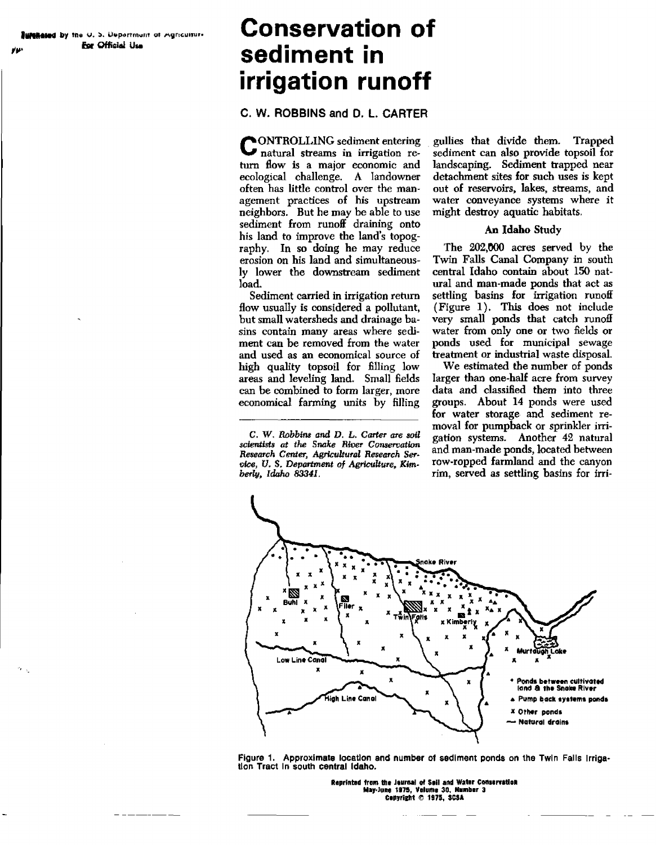# **WARAGED By the U.S. Urpartmunt of Agriculture.**<br> **Example of Cifficial Use sediment in irrigation runoff**

# **C. W. ROBBINS and D. L. CARTER**

**CONTROLLING** sediment entering<br> **C** natural streams in irrigation re-ONTROLLING sediment entering turn flow is a major economic and ecological challenge. A landowner often has little control over the management practices of his upstream neighbors. But he may be able to use sediment from runoff draining onto his land to improve the land's topography. In so doing he may reduce erosion on his land and simultaneously lower the downstream sediment load.

Sediment carried in irrigation return flow usually is considered a pollutant, but small watersheds and drainage basins contain many areas where sediment can be removed from the water and used as an economical source of high quality topsoil for filling low areas and leveling land. Small fields can be combined to form larger, more economical farming units by filling

C. *W. Robbins* **and** *D. L. Carter are soil scientists at the Snake River Conservation Research Center, Agricultural Research Service, U.* **S.** *Department* **of** *Agriculture,* **Kimberly,** *Idaho* **8334/,**

gullies that divide them. Trapped sediment can also provide topsoil for landscaping. Sediment trapped near detachment sites for such uses is kept out of reservoirs, lakes, streams, and water conveyance systems where it might destroy aquatic habitats.

#### An Idaho Study

The 202,000 acres served by the Twin Falls Canal Company in south central Idaho contain about 150 natural and man-made ponds that act as settling basins for irrigation runoff (Figure 1). This does not include very small ponds that catch runoff water from only one or two fields or ponds used for municipal sewage treatment or industrial waste disposal.

We estimated the number of ponds larger than one-half acre from survey data and classified them into three groups. About 14 ponds were used for water storage and sediment removal for pumpback or sprinkler irrigation systems. Another 42 natural and man-made ponds, located between row-rapped farmland and the canyon rim, served as settling basins for irri-



**Figure** 1. **Approximate location and number of sediment ponds on** the Twin **Falls Irrigation Tract In south central Idaho.**

**Reprinted from We lemma] of WI and Water Consenfetion Hey•Juse** 1175, Volume 30. **thunber 3 Copyright © 1975, SCSA**